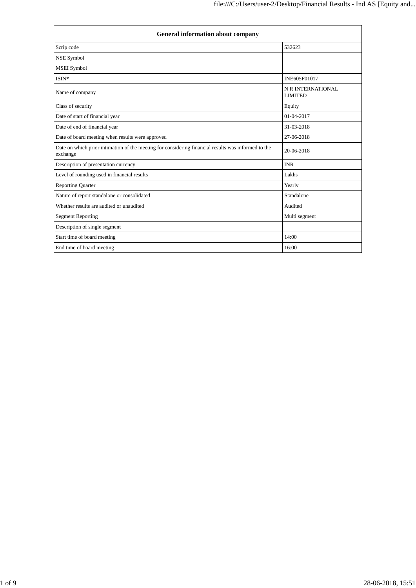| <b>General information about company</b>                                                                        |                                     |  |  |
|-----------------------------------------------------------------------------------------------------------------|-------------------------------------|--|--|
| Scrip code                                                                                                      | 532623                              |  |  |
| NSE Symbol                                                                                                      |                                     |  |  |
| <b>MSEI</b> Symbol                                                                                              |                                     |  |  |
| ISIN*                                                                                                           | INE605F01017                        |  |  |
| Name of company                                                                                                 | N R INTERNATIONAL<br><b>LIMITED</b> |  |  |
| Class of security                                                                                               | Equity                              |  |  |
| Date of start of financial year                                                                                 | $01-04-2017$                        |  |  |
| Date of end of financial year                                                                                   | 31-03-2018                          |  |  |
| Date of board meeting when results were approved                                                                | 27-06-2018                          |  |  |
| Date on which prior intimation of the meeting for considering financial results was informed to the<br>exchange | 20-06-2018                          |  |  |
| Description of presentation currency                                                                            | <b>INR</b>                          |  |  |
| Level of rounding used in financial results                                                                     | Lakhs                               |  |  |
| <b>Reporting Quarter</b>                                                                                        | Yearly                              |  |  |
| Nature of report standalone or consolidated                                                                     | Standalone                          |  |  |
| Whether results are audited or unaudited                                                                        | Audited                             |  |  |
| <b>Segment Reporting</b>                                                                                        | Multi segment                       |  |  |
| Description of single segment                                                                                   |                                     |  |  |
| Start time of board meeting                                                                                     | 14:00                               |  |  |
| End time of board meeting                                                                                       | 16:00                               |  |  |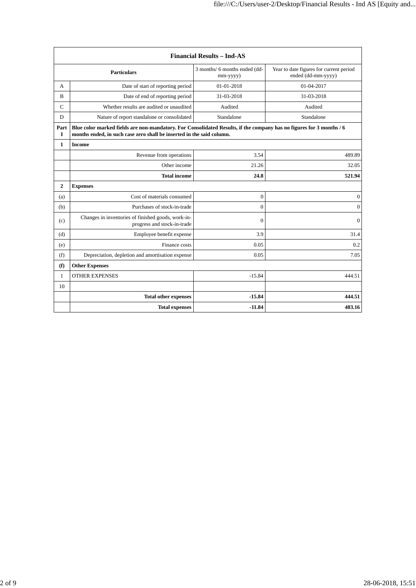| <b>Financial Results - Ind-AS</b> |                                                                                                                                                                                               |                                           |                                                               |
|-----------------------------------|-----------------------------------------------------------------------------------------------------------------------------------------------------------------------------------------------|-------------------------------------------|---------------------------------------------------------------|
| <b>Particulars</b>                |                                                                                                                                                                                               | 3 months/ 6 months ended (dd-<br>mm-yyyy) | Year to date figures for current period<br>ended (dd-mm-yyyy) |
| A                                 | Date of start of reporting period                                                                                                                                                             | 01-01-2018                                | 01-04-2017                                                    |
| B                                 | Date of end of reporting period                                                                                                                                                               | 31-03-2018                                | 31-03-2018                                                    |
| $\mathcal{C}$                     | Whether results are audited or unaudited                                                                                                                                                      | Audited                                   | Audited                                                       |
| D                                 | Nature of report standalone or consolidated                                                                                                                                                   | Standalone                                | Standalone                                                    |
| Part<br>$\mathbf{I}$              | Blue color marked fields are non-mandatory. For Consolidated Results, if the company has no figures for 3 months / 6<br>months ended, in such case zero shall be inserted in the said column. |                                           |                                                               |
| 1                                 | <b>Income</b>                                                                                                                                                                                 |                                           |                                                               |
|                                   | Revenue from operations                                                                                                                                                                       | 3.54                                      | 489.89                                                        |
|                                   | Other income                                                                                                                                                                                  | 21.26                                     | 32.05                                                         |
|                                   | <b>Total income</b>                                                                                                                                                                           | 24.8                                      | 521.94                                                        |
| $\mathbf{2}$                      | <b>Expenses</b>                                                                                                                                                                               |                                           |                                                               |
| (a)                               | Cost of materials consumed                                                                                                                                                                    | $\boldsymbol{0}$                          | $\boldsymbol{0}$                                              |
| (b)                               | Purchases of stock-in-trade                                                                                                                                                                   | $\theta$                                  | $\mathbf{0}$                                                  |
| (c)                               | Changes in inventories of finished goods, work-in-<br>progress and stock-in-trade                                                                                                             | $\Omega$                                  | $\mathbf{0}$                                                  |
| (d)                               | Employee benefit expense                                                                                                                                                                      | 3.9                                       | 31.4                                                          |
| (e)                               | Finance costs                                                                                                                                                                                 | 0.05                                      | 0.2                                                           |
| (f)                               | Depreciation, depletion and amortisation expense                                                                                                                                              | 0.05                                      | 7.05                                                          |
| (f)                               | <b>Other Expenses</b>                                                                                                                                                                         |                                           |                                                               |
| $\mathbf{1}$                      | <b>OTHER EXPENSES</b>                                                                                                                                                                         | $-15.84$                                  | 444.51                                                        |
| 10                                |                                                                                                                                                                                               |                                           |                                                               |
|                                   | <b>Total other expenses</b>                                                                                                                                                                   | $-15.84$                                  | 444.51                                                        |
|                                   | <b>Total expenses</b>                                                                                                                                                                         | $-11.84$                                  | 483.16                                                        |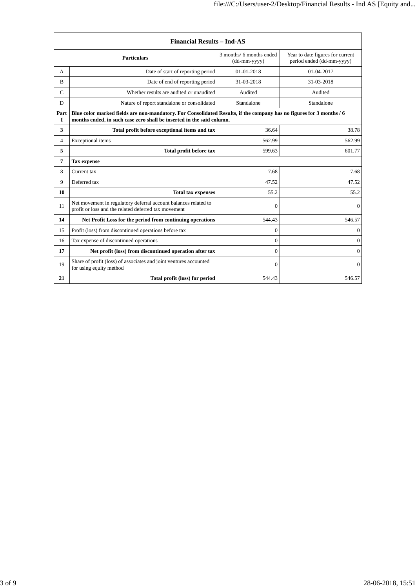| <b>Financial Results - Ind-AS</b>                                                                                  |                                                                                                                                                                                               |                                          |                                                               |
|--------------------------------------------------------------------------------------------------------------------|-----------------------------------------------------------------------------------------------------------------------------------------------------------------------------------------------|------------------------------------------|---------------------------------------------------------------|
|                                                                                                                    | <b>Particulars</b>                                                                                                                                                                            | 3 months/ 6 months ended<br>(dd-mm-yyyy) | Year to date figures for current<br>period ended (dd-mm-yyyy) |
| A                                                                                                                  | Date of start of reporting period                                                                                                                                                             | 01-01-2018                               | 01-04-2017                                                    |
| B                                                                                                                  | Date of end of reporting period                                                                                                                                                               | 31-03-2018                               | 31-03-2018                                                    |
| $\mathcal{C}$                                                                                                      | Whether results are audited or unaudited                                                                                                                                                      | Audited                                  | Audited                                                       |
| D                                                                                                                  | Nature of report standalone or consolidated                                                                                                                                                   | Standalone                               | Standalone                                                    |
| Part<br>I                                                                                                          | Blue color marked fields are non-mandatory. For Consolidated Results, if the company has no figures for 3 months / 6<br>months ended, in such case zero shall be inserted in the said column. |                                          |                                                               |
| 3                                                                                                                  | Total profit before exceptional items and tax                                                                                                                                                 | 36.64                                    | 38.78                                                         |
| $\overline{4}$                                                                                                     | Exceptional items                                                                                                                                                                             | 562.99                                   | 562.99                                                        |
| 5                                                                                                                  | Total profit before tax                                                                                                                                                                       | 599.63                                   | 601.77                                                        |
| $\overline{7}$                                                                                                     | <b>Tax expense</b>                                                                                                                                                                            |                                          |                                                               |
| 8                                                                                                                  | Current tax                                                                                                                                                                                   | 7.68                                     | 7.68                                                          |
| 9                                                                                                                  | Deferred tax                                                                                                                                                                                  | 47.52                                    | 47.52                                                         |
| 10                                                                                                                 | <b>Total tax expenses</b>                                                                                                                                                                     | 55.2                                     | 55.2                                                          |
| 11                                                                                                                 | Net movement in regulatory deferral account balances related to<br>profit or loss and the related deferred tax movement                                                                       | $\mathbf{0}$                             | $\mathbf{0}$                                                  |
| 14                                                                                                                 | Net Profit Loss for the period from continuing operations                                                                                                                                     | 544.43                                   | 546.57                                                        |
| 15                                                                                                                 | Profit (loss) from discontinued operations before tax                                                                                                                                         | $\Omega$                                 | $\Omega$                                                      |
| 16                                                                                                                 | Tax expense of discontinued operations                                                                                                                                                        | $\boldsymbol{0}$                         | $\Omega$                                                      |
| 17                                                                                                                 | Net profit (loss) from discontinued operation after tax                                                                                                                                       | $\theta$                                 | $\overline{0}$                                                |
| Share of profit (loss) of associates and joint ventures accounted<br>19<br>$\mathbf{0}$<br>for using equity method |                                                                                                                                                                                               | $\mathbf{0}$                             |                                                               |
| 21                                                                                                                 | Total profit (loss) for period                                                                                                                                                                | 544.43                                   | 546.57                                                        |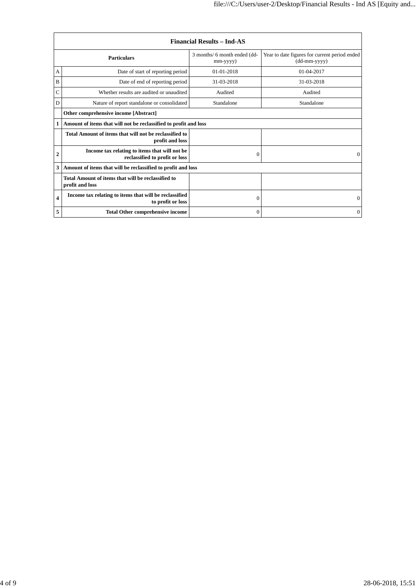| <b>Financial Results - Ind-AS</b> |                                                                                 |                                          |                                                               |
|-----------------------------------|---------------------------------------------------------------------------------|------------------------------------------|---------------------------------------------------------------|
|                                   | <b>Particulars</b>                                                              | 3 months/ 6 month ended (dd-<br>mm-yyyy) | Year to date figures for current period ended<br>(dd-mm-yyyy) |
| А                                 | Date of start of reporting period                                               | $01 - 01 - 2018$                         | $01-04-2017$                                                  |
| B                                 | Date of end of reporting period                                                 | 31-03-2018                               | 31-03-2018                                                    |
| C                                 | Whether results are audited or unaudited                                        | Audited                                  | Audited                                                       |
| D                                 | Nature of report standalone or consolidated                                     | Standalone                               | Standalone                                                    |
|                                   | Other comprehensive income [Abstract]                                           |                                          |                                                               |
| 1                                 | Amount of items that will not be reclassified to profit and loss                |                                          |                                                               |
|                                   | Total Amount of items that will not be reclassified to<br>profit and loss       |                                          |                                                               |
| 2                                 | Income tax relating to items that will not be<br>reclassified to profit or loss | $\Omega$                                 | $\Omega$                                                      |
| 3                                 | Amount of items that will be reclassified to profit and loss                    |                                          |                                                               |
|                                   | Total Amount of items that will be reclassified to<br>profit and loss           |                                          |                                                               |
| $\overline{\mathbf{4}}$           | Income tax relating to items that will be reclassified<br>to profit or loss     | $\Omega$                                 | $\Omega$                                                      |
| 5                                 | <b>Total Other comprehensive income</b>                                         | $\Omega$                                 | $\Omega$                                                      |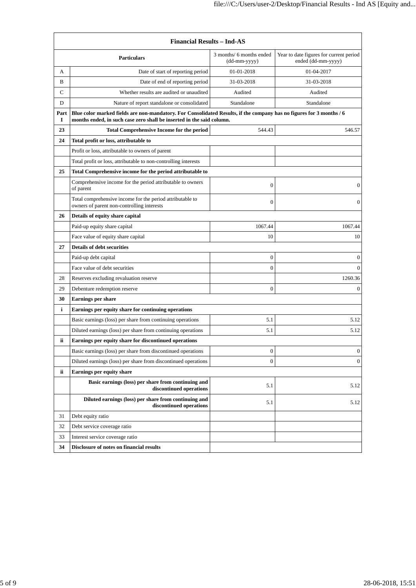| <b>Financial Results - Ind-AS</b> |                                                                                                                                                                                               |                                          |                                                               |
|-----------------------------------|-----------------------------------------------------------------------------------------------------------------------------------------------------------------------------------------------|------------------------------------------|---------------------------------------------------------------|
|                                   | <b>Particulars</b>                                                                                                                                                                            | 3 months/ 6 months ended<br>(dd-mm-yyyy) | Year to date figures for current period<br>ended (dd-mm-yyyy) |
| A                                 | Date of start of reporting period                                                                                                                                                             | 01-01-2018                               | 01-04-2017                                                    |
| B                                 | Date of end of reporting period                                                                                                                                                               | 31-03-2018                               | 31-03-2018                                                    |
| C                                 | Whether results are audited or unaudited                                                                                                                                                      | Audited                                  | Audited                                                       |
| D                                 | Nature of report standalone or consolidated                                                                                                                                                   | Standalone                               | Standalone                                                    |
| Part<br>1                         | Blue color marked fields are non-mandatory. For Consolidated Results, if the company has no figures for 3 months / 6<br>months ended, in such case zero shall be inserted in the said column. |                                          |                                                               |
| 23                                | <b>Total Comprehensive Income for the period</b>                                                                                                                                              | 544.43                                   | 546.57                                                        |
| 24                                | Total profit or loss, attributable to                                                                                                                                                         |                                          |                                                               |
|                                   | Profit or loss, attributable to owners of parent                                                                                                                                              |                                          |                                                               |
|                                   | Total profit or loss, attributable to non-controlling interests                                                                                                                               |                                          |                                                               |
| 25                                | Total Comprehensive income for the period attributable to                                                                                                                                     |                                          |                                                               |
|                                   | Comprehensive income for the period attributable to owners<br>of parent                                                                                                                       | $\overline{0}$                           | $\boldsymbol{0}$                                              |
|                                   | Total comprehensive income for the period attributable to<br>owners of parent non-controlling interests                                                                                       | $\mathbf{0}$                             | $\boldsymbol{0}$                                              |
| 26                                | Details of equity share capital                                                                                                                                                               |                                          |                                                               |
|                                   | Paid-up equity share capital                                                                                                                                                                  | 1067.44                                  | 1067.44                                                       |
|                                   | Face value of equity share capital                                                                                                                                                            | 10                                       | 10                                                            |
| 27                                | <b>Details of debt securities</b>                                                                                                                                                             |                                          |                                                               |
|                                   | Paid-up debt capital                                                                                                                                                                          | $\boldsymbol{0}$                         | 0                                                             |
|                                   | Face value of debt securities                                                                                                                                                                 | $\mathbf{0}$                             | $\mathbf{0}$                                                  |
| 28                                | Reserves excluding revaluation reserve                                                                                                                                                        |                                          | 1260.36                                                       |
| 29                                | Debenture redemption reserve                                                                                                                                                                  | $\mathbf{0}$                             | $\mathbf{0}$                                                  |
| 30                                | <b>Earnings per share</b>                                                                                                                                                                     |                                          |                                                               |
| i                                 | Earnings per equity share for continuing operations                                                                                                                                           |                                          |                                                               |
|                                   | Basic earnings (loss) per share from continuing operations                                                                                                                                    | 5.1                                      | 5.12                                                          |
|                                   | Diluted earnings (loss) per share from continuing operations                                                                                                                                  | 5.1                                      | 5.12                                                          |
| ii                                | Earnings per equity share for discontinued operations                                                                                                                                         |                                          |                                                               |
|                                   | Basic earnings (loss) per share from discontinued operations                                                                                                                                  | $\boldsymbol{0}$                         | $\boldsymbol{0}$                                              |
|                                   | Diluted earnings (loss) per share from discontinued operations                                                                                                                                | $\boldsymbol{0}$                         | $\boldsymbol{0}$                                              |
| ii                                | Earnings per equity share                                                                                                                                                                     |                                          |                                                               |
|                                   | Basic earnings (loss) per share from continuing and<br>discontinued operations                                                                                                                | 5.1                                      | 5.12                                                          |
|                                   | Diluted earnings (loss) per share from continuing and                                                                                                                                         |                                          |                                                               |
|                                   | discontinued operations                                                                                                                                                                       | 5.1                                      | 5.12                                                          |
| 31                                | Debt equity ratio                                                                                                                                                                             |                                          |                                                               |
| 32                                | Debt service coverage ratio                                                                                                                                                                   |                                          |                                                               |
| 33                                | Interest service coverage ratio                                                                                                                                                               |                                          |                                                               |
| 34                                | Disclosure of notes on financial results                                                                                                                                                      |                                          |                                                               |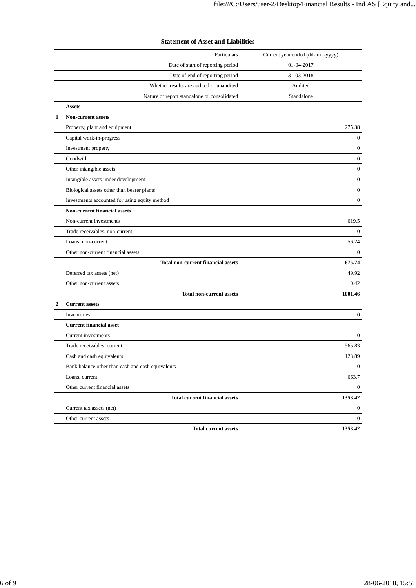|                  | <b>Statement of Asset and Liabilities</b>         |                                 |  |  |
|------------------|---------------------------------------------------|---------------------------------|--|--|
|                  | Particulars                                       | Current year ended (dd-mm-yyyy) |  |  |
|                  | Date of start of reporting period                 | 01-04-2017                      |  |  |
|                  | Date of end of reporting period                   | 31-03-2018                      |  |  |
|                  | Whether results are audited or unaudited          | Audited                         |  |  |
|                  | Nature of report standalone or consolidated       | Standalone                      |  |  |
|                  | <b>Assets</b>                                     |                                 |  |  |
| 1                | <b>Non-current assets</b>                         |                                 |  |  |
|                  | Property, plant and equipment                     | 275.38                          |  |  |
|                  | Capital work-in-progress                          | $\bf{0}$                        |  |  |
|                  | Investment property                               | $\boldsymbol{0}$                |  |  |
|                  | Goodwill                                          | $\boldsymbol{0}$                |  |  |
|                  | Other intangible assets                           | $\boldsymbol{0}$                |  |  |
|                  | Intangible assets under development               | $\mathbf{0}$                    |  |  |
|                  | Biological assets other than bearer plants        | $\boldsymbol{0}$                |  |  |
|                  | Investments accounted for using equity method     | $\boldsymbol{0}$                |  |  |
|                  | <b>Non-current financial assets</b>               |                                 |  |  |
|                  | Non-current investments                           | 619.5                           |  |  |
|                  | Trade receivables, non-current                    | $\Omega$                        |  |  |
|                  | Loans, non-current                                | 56.24                           |  |  |
|                  | Other non-current financial assets                | $\mathbf{0}$                    |  |  |
|                  | <b>Total non-current financial assets</b>         | 675.74                          |  |  |
|                  | Deferred tax assets (net)                         | 49.92                           |  |  |
|                  | Other non-current assets                          | 0.42                            |  |  |
|                  | <b>Total non-current assets</b>                   | 1001.46                         |  |  |
| $\boldsymbol{2}$ | <b>Current assets</b>                             |                                 |  |  |
|                  | Inventories                                       | $\bf{0}$                        |  |  |
|                  | <b>Current financial asset</b>                    |                                 |  |  |
|                  | Current investments                               | $\bf{0}$                        |  |  |
|                  | Trade receivables, current                        | 565.83                          |  |  |
|                  | Cash and cash equivalents                         | 123.89                          |  |  |
|                  | Bank balance other than cash and cash equivalents | $\boldsymbol{0}$                |  |  |
|                  | Loans, current                                    | 663.7                           |  |  |
|                  | Other current financial assets                    | $\overline{0}$                  |  |  |
|                  | <b>Total current financial assets</b>             | 1353.42                         |  |  |
|                  | Current tax assets (net)                          | $\boldsymbol{0}$                |  |  |
|                  | Other current assets                              | $\overline{0}$                  |  |  |
|                  | <b>Total current assets</b>                       | 1353.42                         |  |  |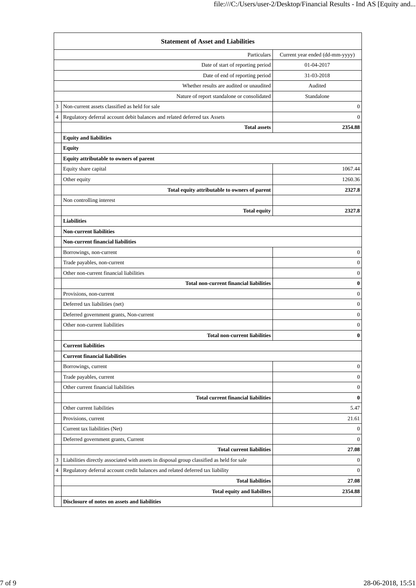| <b>Statement of Asset and Liabilities</b> |                                                                                           |                                 |  |
|-------------------------------------------|-------------------------------------------------------------------------------------------|---------------------------------|--|
|                                           | Particulars                                                                               | Current year ended (dd-mm-yyyy) |  |
|                                           | Date of start of reporting period                                                         | 01-04-2017                      |  |
|                                           | Date of end of reporting period                                                           | 31-03-2018                      |  |
|                                           | Whether results are audited or unaudited                                                  | Audited                         |  |
|                                           | Nature of report standalone or consolidated                                               | Standalone                      |  |
| 3                                         | Non-current assets classified as held for sale                                            | $\boldsymbol{0}$                |  |
| 4                                         | Regulatory deferral account debit balances and related deferred tax Assets                | $\mathbf{0}$                    |  |
|                                           | <b>Total assets</b>                                                                       | 2354.88                         |  |
|                                           | <b>Equity and liabilities</b>                                                             |                                 |  |
|                                           | <b>Equity</b>                                                                             |                                 |  |
|                                           | Equity attributable to owners of parent                                                   |                                 |  |
|                                           | Equity share capital                                                                      | 1067.44                         |  |
|                                           | Other equity                                                                              | 1260.36                         |  |
|                                           | Total equity attributable to owners of parent                                             | 2327.8                          |  |
|                                           | Non controlling interest                                                                  |                                 |  |
|                                           | <b>Total equity</b>                                                                       | 2327.8                          |  |
|                                           | <b>Liabilities</b>                                                                        |                                 |  |
|                                           | <b>Non-current liabilities</b>                                                            |                                 |  |
|                                           | <b>Non-current financial liabilities</b>                                                  |                                 |  |
|                                           | Borrowings, non-current                                                                   | $\boldsymbol{0}$                |  |
|                                           | Trade payables, non-current                                                               | $\boldsymbol{0}$                |  |
|                                           | Other non-current financial liabilities                                                   | $\boldsymbol{0}$                |  |
|                                           | <b>Total non-current financial liabilities</b>                                            | $\bf{0}$                        |  |
|                                           | Provisions, non-current                                                                   | $\boldsymbol{0}$                |  |
|                                           | Deferred tax liabilities (net)                                                            | $\boldsymbol{0}$                |  |
|                                           | Deferred government grants, Non-current                                                   | $\boldsymbol{0}$                |  |
|                                           | Other non-current liabilities                                                             | $\boldsymbol{0}$                |  |
|                                           | <b>Total non-current liabilities</b>                                                      | $\bf{0}$                        |  |
|                                           | <b>Current liabilities</b>                                                                |                                 |  |
|                                           | <b>Current financial liabilities</b>                                                      |                                 |  |
|                                           | Borrowings, current                                                                       | $\mathbf{0}$                    |  |
|                                           | Trade payables, current                                                                   | 0                               |  |
|                                           | Other current financial liabilities                                                       | 0                               |  |
|                                           | <b>Total current financial liabilities</b>                                                | $\bf{0}$                        |  |
|                                           | Other current liabilities                                                                 | 5.47                            |  |
|                                           | Provisions, current                                                                       | 21.61                           |  |
|                                           | Current tax liabilities (Net)                                                             | $\mathbf{0}$                    |  |
|                                           | Deferred government grants, Current                                                       | $\boldsymbol{0}$                |  |
|                                           | <b>Total current liabilities</b>                                                          | 27.08                           |  |
| 3                                         | Liabilities directly associated with assets in disposal group classified as held for sale | $\bf{0}$                        |  |
| 4                                         | Regulatory deferral account credit balances and related deferred tax liability            | $\mathbf{0}$                    |  |
|                                           | <b>Total liabilities</b>                                                                  | 27.08                           |  |
|                                           | <b>Total equity and liabilites</b>                                                        | 2354.88                         |  |
|                                           | Disclosure of notes on assets and liabilities                                             |                                 |  |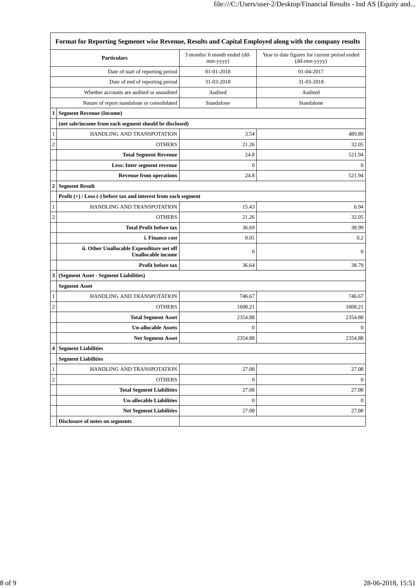| Format for Reporting Segmenet wise Revenue, Results and Capital Employed along with the company results |                                                                        |                                          |                                                               |
|---------------------------------------------------------------------------------------------------------|------------------------------------------------------------------------|------------------------------------------|---------------------------------------------------------------|
|                                                                                                         | <b>Particulars</b>                                                     | 3 months/ 6 month ended (dd-<br>mm-yyyy) | Year to date figures for current period ended<br>(dd-mm-yyyy) |
| Date of start of reporting period                                                                       |                                                                        | 01-01-2018                               | 01-04-2017                                                    |
|                                                                                                         | Date of end of reporting period                                        | 31-03-2018                               | 31-03-2018                                                    |
|                                                                                                         | Whether accounts are audited or unaudited                              | Audited                                  | Audited                                                       |
|                                                                                                         | Nature of report standalone or consolidated                            | Standalone                               | Standalone                                                    |
| $\mathbf{1}$                                                                                            | <b>Segment Revenue (Income)</b>                                        |                                          |                                                               |
|                                                                                                         | (net sale/income from each segment should be disclosed)                |                                          |                                                               |
| 1                                                                                                       | HANDLING AND TRANSPOTATION                                             | 3.54                                     | 489.89                                                        |
| $\overline{c}$                                                                                          | <b>OTHERS</b>                                                          | 21.26                                    | 32.05                                                         |
|                                                                                                         | <b>Total Segment Revenue</b>                                           | 24.8                                     | 521.94                                                        |
|                                                                                                         | Less: Inter segment revenue                                            | $\boldsymbol{0}$                         | $\boldsymbol{0}$                                              |
|                                                                                                         | <b>Revenue from operations</b>                                         | 24.8                                     | 521.94                                                        |
| 2                                                                                                       | <b>Segment Result</b>                                                  |                                          |                                                               |
|                                                                                                         | Profit $(+)$ / Loss $(-)$ before tax and interest from each segment    |                                          |                                                               |
| 1                                                                                                       | HANDLING AND TRANSPOTATION                                             | 15.43                                    | 6.94                                                          |
| $\overline{c}$                                                                                          | <b>OTHERS</b>                                                          | 21.26                                    | 32.05                                                         |
|                                                                                                         | <b>Total Profit before tax</b>                                         | 36.69                                    | 38.99                                                         |
|                                                                                                         | <i>i.</i> Finance cost                                                 | 0.05                                     | 0.2                                                           |
|                                                                                                         | ii. Other Unallocable Expenditure net off<br><b>Unallocable income</b> | $\overline{0}$                           | $\mathbf{0}$                                                  |
|                                                                                                         | Profit before tax                                                      | 36.64                                    | 38.79                                                         |
| 3                                                                                                       | (Segment Asset - Segment Liabilities)                                  |                                          |                                                               |
|                                                                                                         | <b>Segment Asset</b>                                                   |                                          |                                                               |
| 1                                                                                                       | HANDLING AND TRANSPOTATION                                             | 746.67                                   | 746.67                                                        |
| $\overline{c}$                                                                                          | <b>OTHERS</b>                                                          | 1608.21                                  | 1608.21                                                       |
|                                                                                                         | <b>Total Segment Asset</b>                                             | 2354.88                                  | 2354.88                                                       |
|                                                                                                         | <b>Un-allocable Assets</b>                                             | $\boldsymbol{0}$                         | $\mathbf{0}$                                                  |
|                                                                                                         | <b>Net Segment Asset</b>                                               | 2354.88                                  | 2354.88                                                       |
| 4                                                                                                       | <b>Segment Liabilities</b>                                             |                                          |                                                               |
|                                                                                                         | <b>Segment Liabilities</b>                                             |                                          |                                                               |
| $\mathbf{1}$                                                                                            | HANDLING AND TRANSPOTATION                                             | 27.08                                    | 27.08                                                         |
| $\overline{c}$                                                                                          | <b>OTHERS</b>                                                          | $\boldsymbol{0}$                         | $\boldsymbol{0}$                                              |
|                                                                                                         | <b>Total Segment Liabilities</b>                                       | 27.08                                    | 27.08                                                         |
|                                                                                                         | <b>Un-allocable Liabilities</b>                                        | $\boldsymbol{0}$                         | $\mathbf{0}$                                                  |
|                                                                                                         | <b>Net Segment Liabilities</b>                                         | 27.08                                    | 27.08                                                         |
|                                                                                                         | Disclosure of notes on segments                                        |                                          |                                                               |